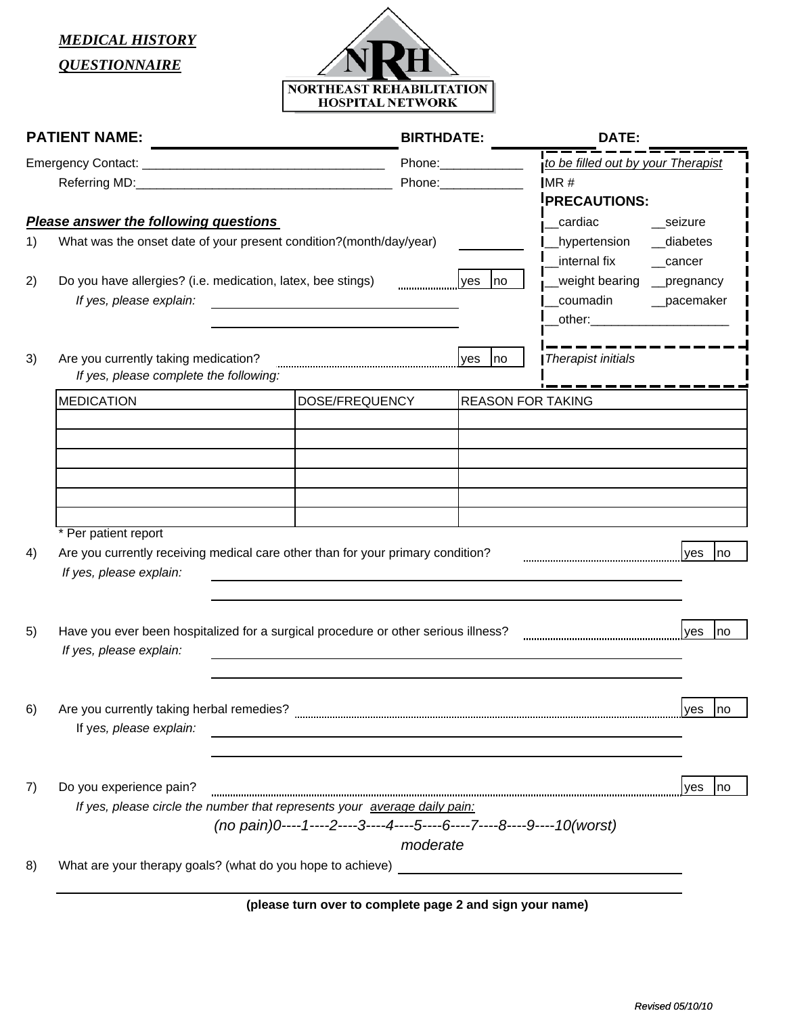*MEDICAL HISTORY*

*QUESTIONNAIRE*



|    | <b>PATIENT NAME:</b>                                                                                    |                                                                      | <b>BIRTHDATE:</b>   | DATE:                              |                       |     |
|----|---------------------------------------------------------------------------------------------------------|----------------------------------------------------------------------|---------------------|------------------------------------|-----------------------|-----|
|    |                                                                                                         |                                                                      | Phone:_____________ | to be filled out by your Therapist |                       |     |
|    |                                                                                                         |                                                                      | Phone: Phone:       | MR#                                |                       |     |
|    |                                                                                                         |                                                                      |                     | <b>IPRECAUTIONS:</b>               |                       |     |
|    | <b>Please answer the following questions</b>                                                            |                                                                      | cardiac             | __seizure                          |                       |     |
| 1) | What was the onset date of your present condition?(month/day/year)                                      |                                                                      |                     | hypertension<br>internal fix       | __diabetes            |     |
| 2) | Do you have allergies? (i.e. medication, latex, bee stings)                                             |                                                                      | yes no              | weight bearing                     | cancer<br>__pregnancy |     |
|    | If yes, please explain:                                                                                 |                                                                      |                     | coumadin                           | __pacemaker           |     |
|    |                                                                                                         |                                                                      |                     | other: www.communications.com      |                       |     |
|    |                                                                                                         |                                                                      |                     |                                    |                       |     |
| 3) | Are you currently taking medication?<br>If yes, please complete the following:                          |                                                                      | yes no              | <b>Therapist initials</b>          |                       |     |
|    | <b>MEDICATION</b><br>DOSE/FREQUENCY                                                                     |                                                                      |                     | <b>REASON FOR TAKING</b>           |                       |     |
|    |                                                                                                         |                                                                      |                     |                                    |                       |     |
|    |                                                                                                         |                                                                      |                     |                                    |                       |     |
|    |                                                                                                         |                                                                      |                     |                                    |                       |     |
|    |                                                                                                         |                                                                      |                     |                                    |                       |     |
|    |                                                                                                         |                                                                      |                     |                                    |                       |     |
| 4) | * Per patient report<br>Are you currently receiving medical care other than for your primary condition? |                                                                      |                     |                                    | ves                   | Ino |
|    | If yes, please explain:                                                                                 |                                                                      |                     |                                    |                       |     |
|    |                                                                                                         |                                                                      |                     |                                    |                       |     |
|    |                                                                                                         |                                                                      |                     |                                    |                       |     |
| 5) | Have you ever been hospitalized for a surgical procedure or other serious illness?                      |                                                                      |                     |                                    | yes                   | no  |
|    | If yes, please explain:                                                                                 |                                                                      |                     |                                    |                       |     |
|    |                                                                                                         |                                                                      |                     |                                    |                       |     |
| 6) |                                                                                                         |                                                                      |                     |                                    | yes                   | no  |
|    | If yes, please explain:                                                                                 |                                                                      |                     |                                    |                       |     |
|    |                                                                                                         |                                                                      |                     |                                    |                       |     |
| 7) | Do you experience pain?                                                                                 |                                                                      |                     |                                    | yes                   | no  |
|    | If yes, please circle the number that represents your average daily pain:                               |                                                                      |                     |                                    |                       |     |
|    |                                                                                                         | (no pain)0----1----2----3----4----5----6----7----8----9----10(worst) |                     |                                    |                       |     |
|    |                                                                                                         |                                                                      | moderate            |                                    |                       |     |
| 8) | What are your therapy goals? (what do you hope to achieve)                                              |                                                                      |                     |                                    |                       |     |
|    |                                                                                                         | (please turn over to complete page 2 and sign your name)             |                     |                                    |                       |     |